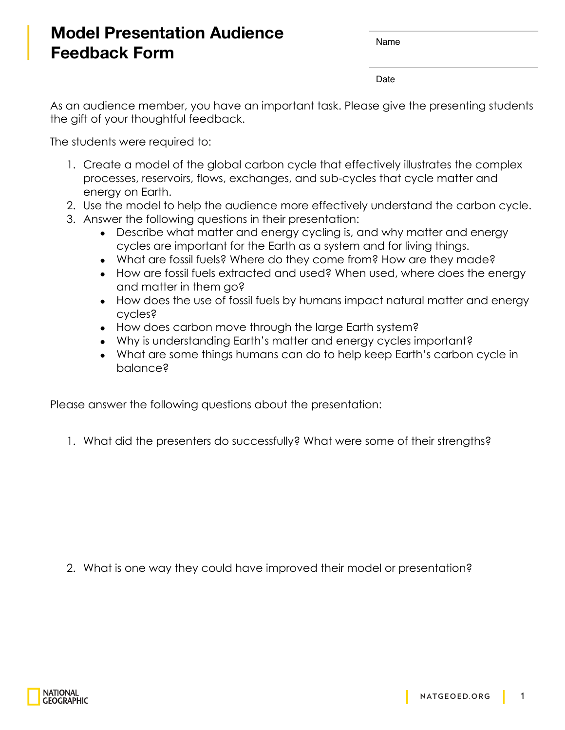## **Model Presentation Audience Feedback Form**

Name

Date

As an audience member, you have an important task. Please give the presenting students the gift of your thoughtful feedback.

The students were required to:

- 1. Create a model of the global carbon cycle that effectively illustrates the complex processes, reservoirs, flows, exchanges, and sub-cycles that cycle matter and energy on Earth.
- 2. Use the model to help the audience more effectively understand the carbon cycle.
- 3. Answer the following questions in their presentation:
	- Describe what matter and energy cycling is, and why matter and energy cycles are important for the Earth as a system and for living things.
	- What are fossil fuels? Where do they come from? How are they made?
	- How are fossil fuels extracted and used? When used, where does the energy and matter in them go?
	- How does the use of fossil fuels by humans impact natural matter and energy cycles?
	- How does carbon move through the large Earth system?
	- Why is understanding Earth's matter and energy cycles important?
	- What are some things humans can do to help keep Earth's carbon cycle in balance?

Please answer the following questions about the presentation:

1. What did the presenters do successfully? What were some of their strengths?

2. What is one way they could have improved their model or presentation?